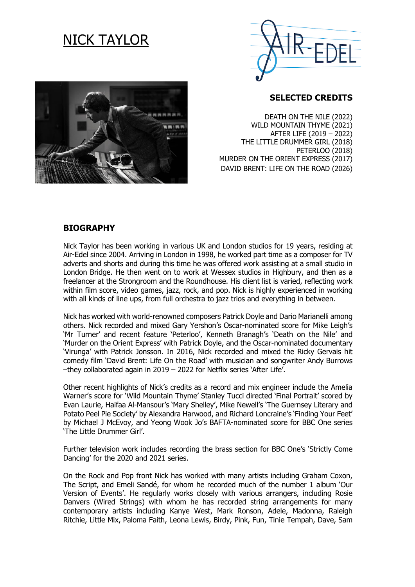# NICK TAYLOR





### **SELECTED CREDITS**

DEATH ON THE NILE (2022) WILD MOUNTAIN THYME (2021) AFTER LIFE (2019 – 2022) THE LITTLE DRUMMER GIRL (2018) PETERLOO (2018) MURDER ON THE ORIENT EXPRESS (2017) DAVID BRENT: LIFE ON THE ROAD (2026)

#### **BIOGRAPHY**

Nick Taylor has been working in various UK and London studios for 19 years, residing at Air-Edel since 2004. Arriving in London in 1998, he worked part time as a composer for TV adverts and shorts and during this time he was offered work assisting at a small studio in London Bridge. He then went on to work at Wessex studios in Highbury, and then as a freelancer at the Strongroom and the Roundhouse. His client list is varied, reflecting work within film score, video games, jazz, rock, and pop. Nick is highly experienced in working with all kinds of line ups, from full orchestra to jazz trios and everything in between.

Nick has worked with world-renowned composers Patrick Doyle and Dario Marianelli among others. Nick recorded and mixed Gary Yershon's Oscar-nominated score for Mike Leigh's 'Mr Turner' and recent feature 'Peterloo', Kenneth Branagh's 'Death on the Nile' and 'Murder on the Orient Express' with Patrick Doyle, and the Oscar-nominated documentary 'Virunga' with Patrick Jonsson. In 2016, Nick recorded and mixed the Ricky Gervais hit comedy film 'David Brent: Life On the Road' with musician and songwriter Andy Burrows –they collaborated again in 2019 – 2022 for Netflix series 'After Life'.

Other recent highlights of Nick's credits as a record and mix engineer include the Amelia Warner's score for 'Wild Mountain Thyme' Stanley Tucci directed 'Final Portrait' scored by Evan Laurie, Haifaa Al-Mansour's 'Mary Shelley', Mike Newell's 'The Guernsey Literary and Potato Peel Pie Society' by Alexandra Harwood, and Richard Loncraine's 'Finding Your Feet' by Michael J McEvoy, and Yeong Wook Jo's BAFTA-nominated score for BBC One series 'The Little Drummer Girl'.

Further television work includes recording the brass section for BBC One's 'Strictly Come Dancing' for the 2020 and 2021 series.

On the Rock and Pop front Nick has worked with many artists including Graham Coxon, The Script, and Emeli Sandé, for whom he recorded much of the number 1 album 'Our Version of Events'. He regularly works closely with various arrangers, including Rosie Danvers (Wired Strings) with whom he has recorded string arrangements for many contemporary artists including Kanye West, Mark Ronson, Adele, Madonna, Raleigh Ritchie, Little Mix, Paloma Faith, Leona Lewis, Birdy, Pink, Fun, Tinie Tempah, Dave, Sam